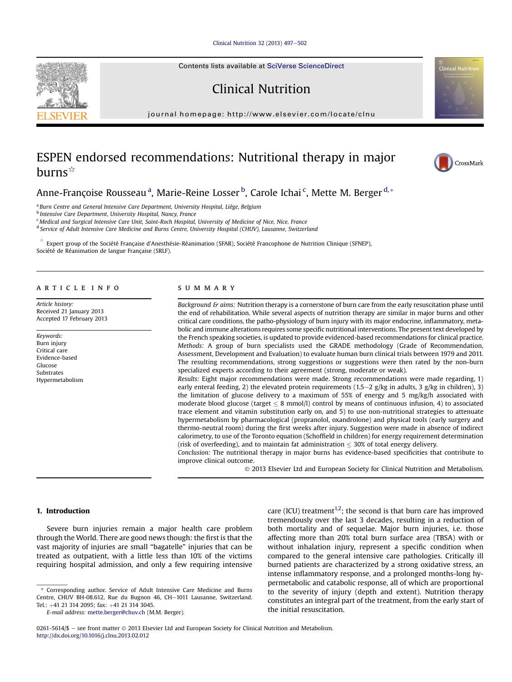Clinical Nutrition 32 (2013)  $497-502$  $497-502$ 

Contents lists available at SciVerse ScienceDirect

# Clinical Nutrition

journal homepage:<http://www.elsevier.com/locate/clnu>

# ESPEN endorsed recommendations: Nutritional therapy in major burns $\mathbb{R}$

Anne-Françoise Rousseau <sup>a</sup>, Marie-Reine Losser <sup>b</sup>, Carole Ichai <sup>c</sup>, Mette M. Berger <sup>d,</sup>\*

<sup>a</sup> Burn Centre and General Intensive Care Department, University Hospital, Liège, Belgium

**b** Intensive Care Department, University Hospital, Nancy, France

<sup>c</sup> Medical and Surgical Intensive Care Unit, Saint-Roch Hospital, University of Medicine of Nice, Nice, France

<sup>d</sup> Service of Adult Intensive Care Medicine and Burns Centre, University Hospital (CHUV), Lausanne, Switzerland

 $\Delta$ Expert group of the Société Française d'Anesthésie-Réanimation (SFAR), Société Francophone de Nutrition Clinique (SFNEP), Société de Réanimation de langue Française (SRLF).

#### article info

Article history: Received 21 January 2013 Accepted 17 February 2013

Keywords: Burn injury Critical care Evidence-based Glucose Substrates Hypermetabolism

## SUMMARY

Background  $\mathcal G$  aims: Nutrition therapy is a cornerstone of burn care from the early resuscitation phase until the end of rehabilitation. While several aspects of nutrition therapy are similar in major burns and other critical care conditions, the patho-physiology of burn injury with its major endocrine, inflammatory, metabolic and immune alterations requires some specific nutritional interventions. The present text developed by the French speaking societies, is updated to provide evidenced-based recommendations for clinical practice. Methods: A group of burn specialists used the GRADE methodology (Grade of Recommendation, Assessment, Development and Evaluation) to evaluate human burn clinical trials between 1979 and 2011. The resulting recommendations, strong suggestions or suggestions were then rated by the non-burn specialized experts according to their agreement (strong, moderate or weak).

Results: Eight major recommendations were made. Strong recommendations were made regarding, 1) early enteral feeding, 2) the elevated protein requirements  $(1.5-2$  g/kg in adults, 3 g/kg in children), 3) the limitation of glucose delivery to a maximum of 55% of energy and 5 mg/kg/h associated with moderate blood glucose (target  $\leq 8$  mmol/l) control by means of continuous infusion, 4) to associated trace element and vitamin substitution early on, and 5) to use non-nutritional strategies to attenuate hypermetabolism by pharmacological (propranolol, oxandrolone) and physical tools (early surgery and thermo-neutral room) during the first weeks after injury. Suggestion were made in absence of indirect calorimetry, to use of the Toronto equation (Schoffield in children) for energy requirement determination (risk of overfeeding), and to maintain fat administration  $\leq$  30% of total energy delivery.

Conclusion: The nutritional therapy in major burns has evidence-based specificities that contribute to improve clinical outcome.

2013 Elsevier Ltd and European Society for Clinical Nutrition and Metabolism.

## 1. Introduction

Severe burn injuries remain a major health care problem through the World. There are good news though: the first is that the vast majority of injuries are small "bagatelle" injuries that can be treated as outpatient, with a little less than 10% of the victims requiring hospital admission, and only a few requiring intensive

\* Corresponding author. Service of Adult Intensive Care Medicine and Burns Centre, CHUV BH-08.612, Rue du Bugnon 46, CH-1011 Lausanne, Switzerland. Tel.: +41 21 314 2095; fax: +41 21 314 3045.

E-mail address: [mette.berger@chuv.ch](mailto:mette.berger@chuv.ch) (M.M. Berger).

care (ICU) treatment<sup>[1,2](#page-4-0)</sup>; the second is that burn care has improved tremendously over the last 3 decades, resulting in a reduction of both mortality and of sequelae. Major burn injuries, i.e. those affecting more than 20% total burn surface area (TBSA) with or without inhalation injury, represent a specific condition when compared to the general intensive care pathologies. Critically ill burned patients are characterized by a strong oxidative stress, an intense inflammatory response, and a prolonged months-long hypermetabolic and catabolic response, all of which are proportional to the severity of injury (depth and extent). Nutrition therapy constitutes an integral part of the treatment, from the early start of the initial resuscitation.







<sup>0261-5614/\$ -</sup> see front matter © 2013 Elsevier Ltd and European Society for Clinical Nutrition and Metabolism. <http://dx.doi.org/10.1016/j.clnu.2013.02.012>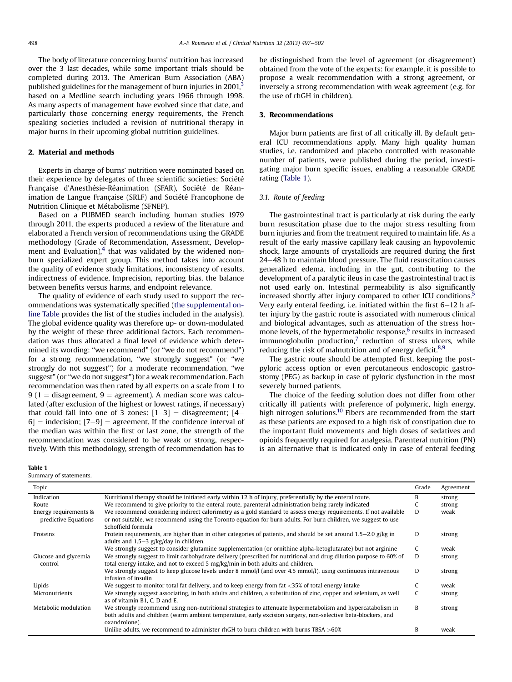The body of literature concerning burns' nutrition has increased over the 3 last decades, while some important trials should be completed during 2013. The American Burn Association (ABA) published guidelines for the management of burn injuries in 2001.<sup>3</sup> based on a Medline search including years 1966 through 1998. As many aspects of management have evolved since that date, and particularly those concerning energy requirements, the French speaking societies included a revision of nutritional therapy in major burns in their upcoming global nutrition guidelines.

## 2. Material and methods

Experts in charge of burns' nutrition were nominated based on their experience by delegates of three scientific societies: Société Française d'Anesthésie-Réanimation (SFAR), Société de Réanimation de Langue Française (SRLF) and Société Francophone de Nutrition Clinique et Métabolisme (SFNEP).

Based on a PUBMED search including human studies 1979 through 2011, the experts produced a review of the literature and elaborated a French version of recommendations using the GRADE methodology (Grade of Recommendation, Assessment, Development and Evaluation), $4$  that was validated by the widened nonburn specialized expert group. This method takes into account the quality of evidence study limitations, inconsistency of results, indirectness of evidence, Imprecision, reporting bias, the balance between benefits versus harms, and endpoint relevance.

The quality of evidence of each study used to support the recommendations was systematically specified (the supplemental online Table provides the list of the studies included in the analysis). The global evidence quality was therefore up- or down-modulated by the weight of these three additional factors. Each recommendation was thus allocated a final level of evidence which determined its wording: "we recommend" (or "we do not recommend") for a strong recommendation, "we strongly suggest" (or "we strongly do not suggest") for a moderate recommendation, "we suggest" (or "we do not suggest") for a weak recommendation. Each recommendation was then rated by all experts on a scale from 1 to 9 (1 = disagreement, 9 = agreement). A median score was calculated (after exclusion of the highest or lowest ratings, if necessary) that could fall into one of 3 zones:  $[1-3]$  = disagreement;  $[4 6$ ] = indecision; [7–9] = agreement. If the confidence interval of the median was within the first or last zone, the strength of the recommendation was considered to be weak or strong, respectively. With this methodology, strength of recommendation has to

#### Table 1

Summary of statements.

be distinguished from the level of agreement (or disagreement) obtained from the vote of the experts: for example, it is possible to propose a weak recommendation with a strong agreement, or inversely a strong recommendation with weak agreement (e.g. for the use of rhGH in children).

### 3. Recommendations

Major burn patients are first of all critically ill. By default general ICU recommendations apply. Many high quality human studies, i.e. randomized and placebo controlled with reasonable number of patients, were published during the period, investigating major burn specific issues, enabling a reasonable GRADE rating (Table 1).

## 3.1. Route of feeding

The gastrointestinal tract is particularly at risk during the early burn resuscitation phase due to the major stress resulting from burn injuries and from the treatment required to maintain life. As a result of the early massive capillary leak causing an hypovolemic shock, large amounts of crystalloids are required during the first 24-48 h to maintain blood pressure. The fluid resuscitation causes generalized edema, including in the gut, contributing to the development of a paralytic ileus in case the gastrointestinal tract is not used early on. Intestinal permeability is also significantly increased shortly after injury compared to other ICU conditions.<sup>[5](#page-4-0)</sup> Very early enteral feeding, i.e. initiated within the first  $6-12$  h after injury by the gastric route is associated with numerous clinical and biological advantages, such as attenuation of the stress hormone levels, of the hypermetabolic response, $6$  results in increased  $immunoglobin$  production, $7$  reduction of stress ulcers, while reducing the risk of malnutrition and of energy deficit.<sup>[8,9](#page-4-0)</sup>

The gastric route should be attempted first, keeping the postpyloric access option or even percutaneous endoscopic gastrostomy (PEG) as backup in case of pyloric dysfunction in the most severely burned patients.

The choice of the feeding solution does not differ from other critically ill patients with preference of polymeric, high energy, high nitrogen solutions.<sup>[10](#page-4-0)</sup> Fibers are recommended from the start as these patients are exposed to a high risk of constipation due to the important fluid movements and high doses of sedatives and opioids frequently required for analgesia. Parenteral nutrition (PN) is an alternative that is indicated only in case of enteral feeding

| Topic                           |                                                                                                                                                                                                                                             | Grade | Agreement |
|---------------------------------|---------------------------------------------------------------------------------------------------------------------------------------------------------------------------------------------------------------------------------------------|-------|-----------|
| Indication                      | Nutritional therapy should be initiated early within 12 h of injury, preferentially by the enteral route.                                                                                                                                   | В     | strong    |
| Route                           | We recommend to give priority to the enteral route, parenteral administration being rarely indicated                                                                                                                                        |       | strong    |
| Energy requirements &           | We recommend considering indirect calorimetry as a gold standard to assess energy requirements. If not available                                                                                                                            | D     | weak      |
| predictive Equations            | or not suitable, we recommend using the Toronto equation for burn adults. For burn children, we suggest to use<br>Schoffield formula                                                                                                        |       |           |
| Proteins                        | Protein requirements, are higher than in other categories of patients, and should be set around $1.5-2.0$ g/kg in<br>adults and $1.5-3$ g/kg/day in children.                                                                               | D     | strong    |
|                                 | We strongly suggest to consider glutamine supplementation (or ornithine alpha-ketoglutarate) but not arginine                                                                                                                               |       | weak      |
| Glucose and glycemia<br>control | We strongly suggest to limit carbohydrate delivery (prescribed for nutritional and drug dilution purpose to 60% of<br>total energy intake, and not to exceed 5 mg/kg/min in both adults and children.                                       | D     | strong    |
|                                 | We strongly suggest to keep glucose levels under 8 mmol/l (and over 4.5 mmol/l), using continuous intravenous<br>infusion of insulin                                                                                                        | D     | strong    |
| Lipids                          | We suggest to monitor total fat delivery, and to keep energy from fat $\langle 35\%$ of total energy intake                                                                                                                                 |       | weak      |
| Micronutrients                  | We strongly suggest associating, in both adults and children, a substitution of zinc, copper and selenium, as well<br>as of vitamin B1, C, D and E.                                                                                         |       | strong    |
| Metabolic modulation            | We strongly recommend using non-nutritional strategies to attenuate hypermetabolism and hypercatabolism in<br>both adults and children (warm ambient temperature, early excision surgery, non-selective beta-blockers, and<br>oxandrolone). | B     | strong    |
|                                 | Unlike adults, we recommend to administer rhGH to burn children with burns TBSA $>60\%$                                                                                                                                                     | В     | weak      |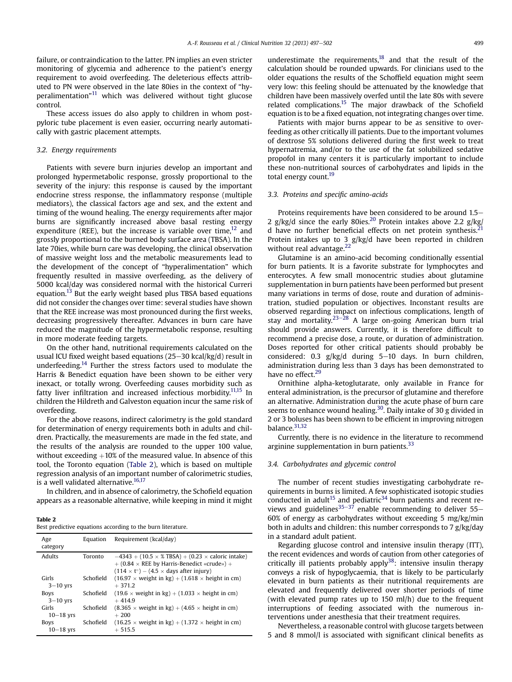failure, or contraindication to the latter. PN implies an even stricter monitoring of glycemia and adherence to the patient's energy requirement to avoid overfeeding. The deleterious effects attributed to PN were observed in the late 80ies in the context of "hyperalimentation" [11](#page-4-0) which was delivered without tight glucose control.

These access issues do also apply to children in whom postpyloric tube placement is even easier, occurring nearly automatically with gastric placement attempts.

## 3.2. Energy requirements

Patients with severe burn injuries develop an important and prolonged hypermetabolic response, grossly proportional to the severity of the injury: this response is caused by the important endocrine stress response, the inflammatory response (multiple mediators), the classical factors age and sex, and the extent and timing of the wound healing. The energy requirements after major burns are significantly increased above basal resting energy expenditure (REE), but the increase is variable over time, $12$  and grossly proportional to the burned body surface area (TBSA). In the late 70ies, while burn care was developing, the clinical observation of massive weight loss and the metabolic measurements lead to the development of the concept of "hyperalimentation" which frequently resulted in massive overfeeding, as the delivery of 5000 kcal/day was considered normal with the historical Curreri equation.<sup>[13](#page-4-0)</sup> But the early weight based plus TBSA based equations did not consider the changes over time: several studies have shown that the REE increase was most pronounced during the first weeks, decreasing progressively thereafter. Advances in burn care have reduced the magnitude of the hypermetabolic response, resulting in more moderate feeding targets.

On the other hand, nutritional requirements calculated on the usual ICU fixed weight based equations  $(25-30 \text{ kcal/kg/d})$  result in underfeeding.<sup>14</sup> Further the stress factors used to modulate the Harris & Benedict equation have been shown to be either very inexact, or totally wrong. Overfeeding causes morbidity such as fatty liver infiltration and increased infectious morbidity.<sup>[11,15](#page-4-0)</sup> In children the Hildreth and Galveston equation incur the same risk of overfeeding.

For the above reasons, indirect calorimetry is the gold standard for determination of energy requirements both in adults and children. Practically, the measurements are made in the fed state, and the results of the analysis are rounded to the upper 100 value, without exceeding  $+10%$  of the measured value. In absence of this tool, the Toronto equation (Table 2), which is based on multiple regression analysis of an important number of calorimetric studies, is a well validated alternative.<sup>[16,17](#page-4-0)</sup>

In children, and in absence of calorimetry, the Schofield equation appears as a reasonable alternative, while keeping in mind it might

Table 2

| Best predictive equations according to the burn literature. |  |
|-------------------------------------------------------------|--|
|-------------------------------------------------------------|--|

| Age<br>category            | Equation  | Requirement (kcal/day)                                                                                                                                                                   |
|----------------------------|-----------|------------------------------------------------------------------------------------------------------------------------------------------------------------------------------------------|
| Adults                     | Toronto   | $-4343 + (10.5 \times %TBSA) + (0.23 \times$ caloric intake)<br>$+$ (0.84 $\times$ REE by Harris-Benedict «crude») +<br>$(114 \times t^{\circ}) - (4.5 \times \text{days after injury})$ |
| Girls<br>$3-10$ yrs        | Schofield | $(16.97 \times \text{weight in kg}) + (1.618 \times \text{height in cm})$<br>$+371.2$                                                                                                    |
| <b>Boys</b><br>$3-10$ yrs  | Schofield | $(19.6 \times$ weight in kg) + $(1.033 \times$ height in cm)<br>$+414.9$                                                                                                                 |
| Girls<br>$10-18$ yrs       | Schofield | $(8.365 \times$ weight in kg) + $(4.65 \times$ height in cm)<br>$+200$                                                                                                                   |
| <b>Boys</b><br>$10-18$ yrs | Schofield | $(16.25 \times \text{weight in kg}) + (1.372 \times \text{height in cm})$<br>$+515.5$                                                                                                    |

underestimate the requirements, $18$  and that the result of the calculation should be rounded upwards. For clinicians used to the older equations the results of the Schoffield equation might seem very low: this feeling should be attenuated by the knowledge that children have been massively overfed until the late 80s with severe related complications.<sup>15</sup> The major drawback of the Schofield equation is to be a fixed equation, not integrating changes over time.

Patients with major burns appear to be as sensitive to overfeeding as other critically ill patients. Due to the important volumes of dextrose 5% solutions delivered during the first week to treat hypernatremia, and/or to the use of the fat solubilized sedative propofol in many centers it is particularly important to include these non-nutritional sources of carbohydrates and lipids in the total energy count.<sup>[19](#page-4-0)</sup>

#### 3.3. Proteins and specific amino-acids

Proteins requirements have been considered to be around  $1.5-$ 2 g/kg/d since the early 80ies.<sup>[20](#page-4-0)</sup> Protein intakes above 2.2 g/kg/ d have no further beneficial effects on net protein synthesis.<sup>2</sup> Protein intakes up to 3 g/kg/d have been reported in children without real advantage.<sup>[22](#page-4-0)</sup>

Glutamine is an amino-acid becoming conditionally essential for burn patients. It is a favorite substrate for lymphocytes and enterocytes. A few small monocentric studies about glutamine supplementation in burn patients have been performed but present many variations in terms of dose, route and duration of administration, studied population or objectives. Inconstant results are observed regarding impact on infectious complications, length of stay and mortality.<sup>[23](#page-4-0)-[28](#page-4-0)</sup> A large on-going American burn trial should provide answers. Currently, it is therefore difficult to recommend a precise dose, a route, or duration of administration. Doses reported for other critical patients should probably be considered:  $0.3$  g/kg/d during  $5-10$  days. In burn children, administration during less than 3 days has been demonstrated to have no effect.<sup>[29](#page-4-0)</sup>

Ornithine alpha-ketoglutarate, only available in France for enteral administration, is the precursor of glutamine and therefore an alternative. Administration during the acute phase of burn care seems to enhance wound healing.<sup>[30](#page-4-0)</sup>. Daily intake of 30 g divided in 2 or 3 boluses has been shown to be efficient in improving nitrogen balance[.31,32](#page-4-0)

Currently, there is no evidence in the literature to recommend arginine supplementation in burn patients.<sup>[33](#page-4-0)</sup>

## 3.4. Carbohydrates and glycemic control

The number of recent studies investigating carbohydrate requirements in burns is limited. A few sophisticated isotopic studies conducted in adult<sup>[15](#page-4-0)</sup> and pediatric<sup>[34](#page-5-0)</sup> burn patients and recent re-views and guidelines<sup>[35](#page-5-0)–[37](#page-5-0)</sup> enable recommending to deliver 55– 60% of energy as carbohydrates without exceeding 5 mg/kg/min both in adults and children: this number corresponds to 7 g/kg/day in a standard adult patient.

Regarding glucose control and intensive insulin therapy (ITT), the recent evidences and words of caution from other categories of critically ill patients probably apply<sup>38</sup>: intensive insulin therapy conveys a risk of hypoglycaemia, that is likely to be particularly elevated in burn patients as their nutritional requirements are elevated and frequently delivered over shorter periods of time (with elevated pump rates up to 150 ml/h) due to the frequent interruptions of feeding associated with the numerous interventions under anesthesia that their treatment requires.

Nevertheless, a reasonable control with glucose targets between 5 and 8 mmol/l is associated with significant clinical benefits as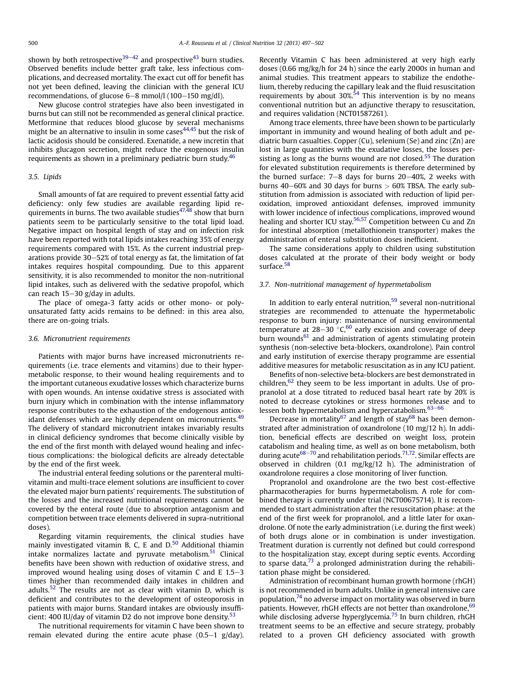shown by both retrospective<sup>[39](#page-5-0)–[42](#page-5-0)</sup> and prospective<sup>43</sup> burn studies. Observed benefits include better graft take, less infectious complications, and decreased mortality. The exact cut off for benefit has not yet been defined, leaving the clinician with the general ICU recommendations, of glucose  $6-8$  mmol/l (100-150 mg/dl).

New glucose control strategies have also been investigated in burns but can still not be recommended as general clinical practice. Metformine that reduces blood glucose by several mechanisms might be an alternative to insulin in some cases  $44,45$  but the risk of lactic acidosis should be considered. Exenatide, a new incretin that inhibits glucagon secretion, might reduce the exogenous insulin requirements as shown in a preliminary pediatric burn study.<sup>[46](#page-5-0)</sup>

## 3.5. Lipids

Small amounts of fat are required to prevent essential fatty acid deficiency: only few studies are available regarding lipid re-quirements in burns. The two available studies<sup>[47,48](#page-5-0)</sup> show that burn patients seem to be particularly sensitive to the total lipid load. Negative impact on hospital length of stay and on infection risk have been reported with total lipids intakes reaching 35% of energy requirements compared with 15%. As the current industrial preparations provide  $30-52\%$  of total energy as fat, the limitation of fat intakes requires hospital compounding. Due to this apparent sensitivity, it is also recommended to monitor the non-nutritional lipid intakes, such as delivered with the sedative propofol, which can reach  $15-30$  g/day in adults.

The place of omega-3 fatty acids or other mono- or polyunsaturated fatty acids remains to be defined: in this area also, there are on-going trials.

## 3.6. Micronutrient requirements

Patients with major burns have increased micronutrients requirements (i.e. trace elements and vitamins) due to their hypermetabolic response, to their wound healing requirements and to the important cutaneous exudative losses which characterize burns with open wounds. An intense oxidative stress is associated with burn injury which in combination with the intense inflammatory response contributes to the exhaustion of the endogenous antiox-idant defenses which are highly dependent on micronutrients.<sup>[49](#page-5-0)</sup> The delivery of standard micronutrient intakes invariably results in clinical deficiency syndromes that become clinically visible by the end of the first month with delayed wound healing and infectious complications: the biological deficits are already detectable by the end of the first week.

The industrial enteral feeding solutions or the parenteral multivitamin and multi-trace element solutions are insufficient to cover the elevated major burn patients' requirements. The substitution of the losses and the increased nutritional requirements cannot be covered by the enteral route (due to absorption antagonism and competition between trace elements delivered in supra-nutritional doses).

Regarding vitamin requirements, the clinical studies have mainly investigated vitamin B, C, E and D[.50](#page-5-0) Additional thiamin intake normalizes lactate and pyruvate metabolism. $51$  Clinical benefits have been shown with reduction of oxidative stress, and improved wound healing using doses of vitamin C and E  $1.5-3$ times higher than recommended daily intakes in children and adults.<sup>[52](#page-5-0)</sup> The results are not as clear with vitamin D, which is deficient and contributes to the development of osteoporosis in patients with major burns. Standard intakes are obviously insuffi-cient: 400 IU/day of vitamin D2 do not improve bone density.<sup>[53](#page-5-0)</sup>

The nutritional requirements for vitamin C have been shown to remain elevated during the entire acute phase  $(0.5-1)$  g/day). Recently Vitamin C has been administered at very high early doses (0.66 mg/kg/h for 24 h) since the early 2000s in human and animal studies. This treatment appears to stabilize the endothelium, thereby reducing the capillary leak and the fluid resuscitation requirements by about 30%.<sup>[54](#page-5-0)</sup> This intervention is by no means conventional nutrition but an adjunctive therapy to resuscitation, and requires validation (NCT01587261).

Among trace elements, three have been shown to be particularly important in immunity and wound healing of both adult and pediatric burn casualties. Copper (Cu), selenium (Se) and zinc (Zn) are lost in large quantities with the exudative losses, the losses per-sisting as long as the burns wound are not closed.<sup>[55](#page-5-0)</sup> The duration for elevated substitution requirements is therefore determined by the burned surface:  $7-8$  days for burns  $20-40%$ , 2 weeks with burns  $40-60\%$  and 30 days for burns  $> 60\%$  TBSA. The early substitution from admission is associated with reduction of lipid peroxidation, improved antioxidant defenses, improved immunity with lower incidence of infectious complications, improved wound healing and shorter ICU stay.<sup>56,57</sup> Competition between Cu and Zn for intestinal absorption (metallothionein transporter) makes the administration of enteral substitution doses inefficient.

The same considerations apply to children using substitution doses calculated at the prorate of their body weight or body surface.<sup>[58](#page-5-0)</sup>

## 3.7. Non-nutritional management of hypermetabolism

In addition to early enteral nutrition,<sup>59</sup> several non-nutritional strategies are recommended to attenuate the hypermetabolic response to burn injury: maintenance of nursing environmental temperature at  $28-30$  °C,<sup>60</sup> early excision and coverage of deep burn wounds $61$  and administration of agents stimulating protein synthesis (non-selective beta-blockers, oxandrolone). Pain control and early institution of exercise therapy programme are essential additive measures for metabolic resuscitation as in any ICU patient.

Benefits of non-selective beta-blockers are best demonstrated in children, $62$  they seem to be less important in adults. Use of propranolol at a dose titrated to reduced basal heart rate by 20% is noted to decrease cytokines or stress hormones release and to lessen both hypermetabolism and hypercatabolism. $63-66$  $63-66$  $63-66$ 

Decrease in mortality $67$  and length of stay $68$  has been demonstrated after administration of oxandrolone (10 mg/12 h). In addition, beneficial effects are described on weight loss, protein catabolism and healing time, as well as on bone metabolism, both during acute<sup>[68](#page-5-0)-[70](#page-5-0)</sup> and rehabilitation periods.<sup>71,72</sup>. Similar effects are observed in children (0.1 mg/kg/12 h). The administration of oxandrolone requires a close monitoring of liver function.

Propranolol and oxandrolone are the two best cost-effective pharmacotherapies for burns hypermetabolism. A role for combined therapy is currently under trial (NCT00675714). It is recommended to start administration after the resuscitation phase: at the end of the first week for propranolol, and a little later for oxandrolone. Of note the early administration (i.e. during the first week) of both drugs alone or in combination is under investigation. Treatment duration is currently not defined but could correspond to the hospitalization stay, except during septic events. According to sparse data, $73$  a prolonged administration during the rehabilitation phase might be considered.

Administration of recombinant human growth hormone (rhGH) is not recommended in burn adults. Unlike in general intensive care population,[74](#page-5-0) no adverse impact on mortality was observed in burn patients. However, rhGH effects are not better than oxandrolone, <sup>[69](#page-5-0)</sup> while disclosing adverse hyperglycemia.<sup>[75](#page-5-0)</sup> In burn children, rhGH treatment seems to be an effective and secure strategy, probably related to a proven GH deficiency associated with growth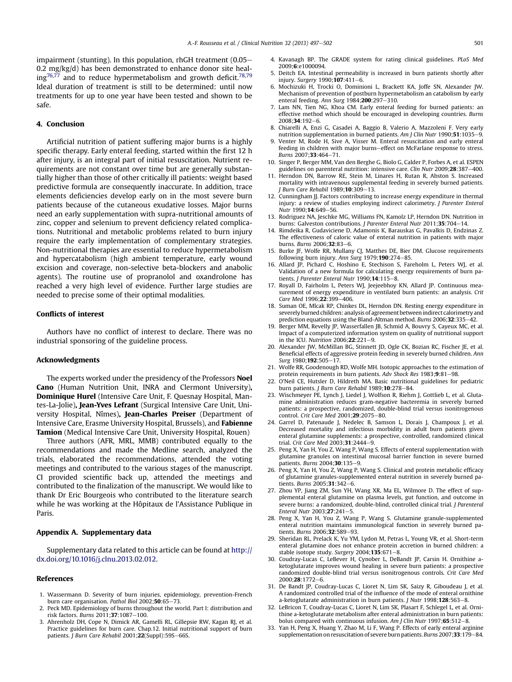<span id="page-4-0"></span>impairment (stunting). In this population, rhGH treatment (0.05-0.2 mg/kg/d) has been demonstrated to enhance donor site heal-ing<sup>[76,77](#page-5-0)</sup> and to reduce hypermetabolism and growth deficit.<sup>[78,79](#page-5-0)</sup> Ideal duration of treatment is still to be determined: until now treatments for up to one year have been tested and shown to be safe.

## 4. Conclusion

Artificial nutrition of patient suffering major burns is a highly specific therapy. Early enteral feeding, started within the first 12 h after injury, is an integral part of initial resuscitation. Nutrient requirements are not constant over time but are generally substantially higher than those of other critically ill patients: weight based predictive formula are consequently inaccurate. In addition, trace elements deficiencies develop early on in the most severe burn patients because of the cutaneous exudative losses. Major burns need an early supplementation with supra-nutritional amounts of zinc, copper and selenium to prevent deficiency related complications. Nutritional and metabolic problems related to burn injury require the early implementation of complementary strategies. Non-nutritional therapies are essential to reduce hypermetabolism and hypercatabolism (high ambient temperature, early wound excision and coverage, non-selective beta-blockers and anabolic agents). The routine use of propranolol and oxandrolone has reached a very high level of evidence. Further large studies are needed to precise some of their optimal modalities.

# Conflicts of interest

Authors have no conflict of interest to declare. There was no industrial sponsoring of the guideline process.

#### Acknowledgments

The experts worked under the presidency of the Professors Noel Cano (Human Nutrition Unit, INRA and Clermont University), Dominique Hurel (Intensive Care Unit, F. Quesnay Hospital, Mantes-La-Jolie), Jean-Yves Lefrant (Surgical Intensive Care Unit, University Hospital, Nîmes), Jean-Charles Preiser (Department of Intensive Care, Erasme University Hospital, Brussels), and Fabienne Tamion (Medical Intensive Care Unit, University Hospital, Rouen)

Three authors (AFR, MRL, MMB) contributed equally to the recommendations and made the Medline search, analyzed the trials, elaborated the recommendations, attended the voting meetings and contributed to the various stages of the manuscript. CI provided scientific back up, attended the meetings and contributed to the finalization of the manuscript. We would like to thank Dr Eric Bourgeois who contributed to the literature search while he was working at the Hôpitaux de l'Assistance Publique in Paris.

## Appendix A. Supplementary data

Supplementary data related to this article can be found at [http://](http://dx.doi.org/10.1016/j.clnu.2013.02.012) [dx.doi.org/10.1016/j.clnu.2013.02.012.](http://dx.doi.org/10.1016/j.clnu.2013.02.012)

#### References

- 1. Wassermann D. Severity of burn injuries, epidemiology, prevention-French burn care organisation. Pathol Biol 2002;50:65-73.
- 2. Peck MD. Epidemiology of burns throughout the world. Part I: distribution and risk factors. Burns 2011;37:1087-100.
- 3. Ahrenholz DH, Cope N, Dimick AR, Gamelli RL, Gillepsie RW, Kagan RJ, et al. Practice guidelines for burn care. Chap.12. Initial nutritional support of burn patients. J Burn Care Rehabil 2001;22(Suppl):59S-66S.
- 4. Kavanagh BP. The GRADE system for rating clinical guidelines. PLoS Med 2009;6:e1000094.
- 5. Deitch EA. Intestinal permeability is increased in burn patients shortly after injury. Surgery  $1990; 107:411-6$ .
- 6. Mochizuki H, Trocki O, Dominioni L, Brackett KA, Joffe SN, Alexander JW. Mechanism of prevention of postburn hypermetabolism an catabolism by early enteral feeding. Ann Surg  $1984;200:297-310$ .
- 7. Lam NN, Tien NG, Khoa CM. Early enteral feeding for burned patients: an effective method which should be encouraged in developing countries. Burns  $2008:34:192-6.$
- 8. Chiarelli A, Enzi G, Casadei A, Baggio B, Valerio A, Mazzoleni F. Very early nutrition supplementation in burned patients. Am *J Clin Nutr* 1990; **51**:1035-9.
- 9. Venter M, Rode H, Sive A, Visser M. Enteral resuscitation and early enteral feeding in children with major burns-effect on McFarlane response to stress. Burns 2007:33:464-71.
- 10. Singer P, Berger MM, Van den Berghe G, Biolo G, Calder P, Forbes A, et al. ESPEN guidelines on parenteral nutrition: intensive care. Clin Nutr 2009:28:387-400.
- 11. Herndon DN, Barrow RE, Stein M, Linares H, Rutan R, Abston S. Increased mortality with intravenous supplemental feeding in severely burned patients.  $I$  Burn Care Rehabil 1989;10:309-13.
- 12. Cunningham JJ. Factors contributing to increase energy expenditure in thermal injury: a review of studies employing indirect calorimetry. J Parenter Enteral Nutr 1990:14:649-56.
- 13. Rodriguez NA, Jeschke MG, Williams FN, Kamolz LP, Herndon DN. Nutrition in burns: Galveston contributions. J Parenter Enteral Nutr 2011;35:704-14.
- 14. Rimdeika R, Gudaviciene D, Adamonis K, Barauskas G, Pavalkis D, Endzinas Z. The effectiveness of caloric value of enteral nutrition in patients with major burns. Burns.  $2006:32:83-6$ .
- 15. Burke JF, Wolfe RR, Mullany CJ, Matthes DE, Bier DM. Glucose requirements following burn injury. Ann Surg 1979;190:274-85.
- 16. Allard JP, Pichard C, Hoshino E, Stechison S, Fareholm L, Peters WJ, et al. Validation of a new formula for calculating energy requirements of burn patients. J Parenter Enteral Nutr 1990;14:115-8.
- 17. Royall D, Fairholm L, Peters WJ, Jeejeebhoy KN, Allard JP. Continuous measurement of energy expenditure in ventilated burn patients: an analysis. Crit Care Med 1996;22:399-406.
- 18. Suman OE, Mlcak RP, Chinkes DL, Herndon DN. Resting energy expenditure in severely burned children: analysis of agreement between indirect calorimetry and prediction equations using the Bland-Altman method. Burns 2006;32:335-42.
- 19. Berger MM, Revelly JP, Wasserfallen JB, Schmid A, Bouvry S, Cayeux MC, et al. Impact of a computerized information system on quality of nutritional support in the ICU. Nutrition  $2006;22:221-9$ .
- 20. Alexander JW, McMillan BG, Stinnett JD, Ogle CK, Bozian RC, Fischer JE, et al. Beneficial effects of aggressive protein feeding in severely burned children. Ann Surg 1980;192:505-17.
- 21. Wolfe RR, Goodenough RD, Wolfe MH. Isotopic approaches to the estimation of protein requirements in burn patients. Adv Shock Res 1983;9:81-98.
- 22. O'Neil CE, Hutsler D, Hildreth MA. Basic nutritional guidelines for pediatric burn patients. J Burn Care Rehabil 1989;10:278-84.
- 23. Wischmeyer PE, Lynch J, Liedel J, Wolfson R, Riehm J, Gottlieb L, et al. Glutamine administration reduces gram-negative bacteremia in severely burned patients: a prospective, randomized, double-blind trial versus isonitrogenous control. Crit Care Med  $2001;29:2075-80$ .
- Garrel D, Patenaude J, Nedelec B, Samson L, Dorais J, Champoux J, et al. Decreased mortality and infectious morbidity in adult burn patients given enteral glutamine supplements: a prospective, controlled, randomized clinical trial. Crit Care Med  $2003;31:2444-9$ .
- 25. Peng X, Yan H, You Z, Wang P, Wang S. Effects of enteral supplementation with glutamine granules on intestinal mucosal barrier function in severe burned patients. Burns 2004;30:135-9.
- 26. Peng X, Yan H, You Z, Wang P, Wang S. Clinical and protein metabolic efficacy of glutamine granules-supplemented enteral nutrition in severely burned patients. Burns 2005;31:342-6.
- 27. Zhou YP, Jiang ZM, Sun YH, Wang XR, Ma EL, Wilmore D. The effect of supplemental enteral glutamine on plasma levels, gut function, and outcome in severe burns: a randomized, double-blind, controlled clinical trial. J Parenteral Enteral Nutr  $2003:27:241-5$ .
- 28. Peng X, Yan H, You Z, Wang P, Wang S. Glutamine granule-supplemented enteral nutrition maintains immunological function in severely burned patients. Burns 2006:32:589-93.
- 29. Sheridan RL, Prelack K, Yu YM, Lydon M, Petras L, Young VR, et al. Short-term enteral glutamine does not enhance protein accretion in burned children: a stable isotope study. Surgery 2004;135:671-8.
- 30. Coudray-Lucas C, LeBever H, Cynober L, DeBandt JP, Carsin H. Ornithine aketoglutarate improves wound healing in severe burn patients: a prospective randomized double-blind trial versus isonitrogenous controls. Crit Care Med 2000;28:1772-6.
- 31. De Bandt JP, Coudray-Lucas C, Lioret N, Lim SK, Saizy R, Giboudeau J, et al. A randomized controlled trial of the influence of the mode of enteral ornithine a-ketoglutarate administration in burn patients. *J Nutr* 1998; **128**: 563-8.
- 32. LeBricon T, Coudray-Lucas C, Lioret N, Lim SK, Plasart F, Schlegel L, et al. Ornithine a-ketoglutarate metabolism after enteral administration in burn patients: bolus compared with continuous infusion. Am *J Clin Nutr*  $1997;65:512-8$ .
- 33. Yan H, Peng X, Huang Y, Zhao M, Li F, Wang P. Effects of early enteral arginine supplementation on resuscitation of severe burn patients. Burns  $2007;33:179-84$ .